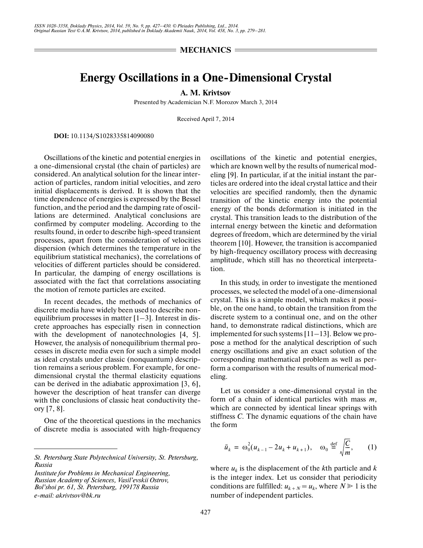## $=$  **MECHANICS**  $=$

## **Energy Oscillations in a One-Dimensional Crystal**

**A. M. Krivtsov**

Presented by Academician N.F. Morozov March 3, 2014

Received April 7, 2014

**DOI:** 10.1134/S1028335814090080

Oscillations of the kinetic and potential energies in a one-dimensional crystal (the chain of particles) are considered. An analytical solution for the linear inter action of particles, random initial velocities, and zero initial displacements is derived. It is shown that the time dependence of energies is expressed by the Bessel function, and the period and the damping rate of oscil lations are determined. Analytical conclusions are confirmed by computer modeling. According to the results found, in order to describe high-speed transient processes, apart from the consideration of velocities dispersion (which determines the temperature in the equilibrium statistical mechanics), the correlations of velocities of different particles should be considered. In particular, the damping of energy oscillations is associated with the fact that correlations associating the motion of remote particles are excited.

In recent decades, the methods of mechanics of discrete media have widely been used to describe non equilibrium processes in matter [1–3]. Interest in dis crete approaches has especially risen in connection with the development of nanotechnologies [4, 5]. However, the analysis of nonequilibrium thermal pro cesses in discrete media even for such a simple model as ideal crystals under classic (nonquantum) descrip tion remains a serious problem. For example, for one dimensional crystal the thermal elasticity equations can be derived in the adiabatic approximation [3, 6], however the description of heat transfer can diverge with the conclusions of classic heat conductivity the ory [7, 8].

One of the theoretical questions in the mechanics of discrete media is associated with high-frequency

*Institute for Problems in Mechanical Engineering, Russian Academy of Sciences, Vasil'evskii Ostrov, Bol'shoi pr. 61, St. Petersburg, 199178 Russia e-mail: akrivtsov@bk.ru*

oscillations of the kinetic and potential energies, which are known well by the results of numerical mod eling [9]. In particular, if at the initial instant the par ticles are ordered into the ideal crystal lattice and their velocities are specified randomly, then the dynamic transition of the kinetic energy into the potential energy of the bonds deformation is initiated in the crystal. This transition leads to the distribution of the internal energy between the kinetic and deformation degrees of freedom, which are determined by the virial theorem [10]. However, the transition is accompanied by high-frequency oscillatory process with decreasing amplitude, which still has no theoretical interpreta tion.

In this study, in order to investigate the mentioned processes, we selected the model of a one-dimensional crystal. This is a simple model, which makes it possi ble, on the one hand, to obtain the transition from the discrete system to a continual one, and on the other hand, to demonstrate radical distinctions, which are implemented for such systems [11–13]. Below we pro pose a method for the analytical description of such energy oscillations and give an exact solution of the corresponding mathematical problem as well as per form a comparison with the results of numerical mod eling.

Let us consider a one-dimensional crystal in the form of a chain of identical particles with mass *m*, which are connected by identical linear springs with stiffness *C*. The dynamic equations of the chain have the form

$$
\ddot{u}_k = \omega_0^2 (u_{k-1} - 2u_k + u_{k+1}), \quad \omega_0 \stackrel{\text{def}}{=} \sqrt{\frac{C}{m}}, \qquad (1)
$$

where  $u_k$  is the displacement of the *k*th particle and *k* is the integer index. Let us consider that periodicity conditions are fulfilled:  $u_{k+N} = u_k$ , where  $N \ge 1$  is the number of independent particles.

*St. Petersburg State Polytechnical University, St. Petersburg, Russia*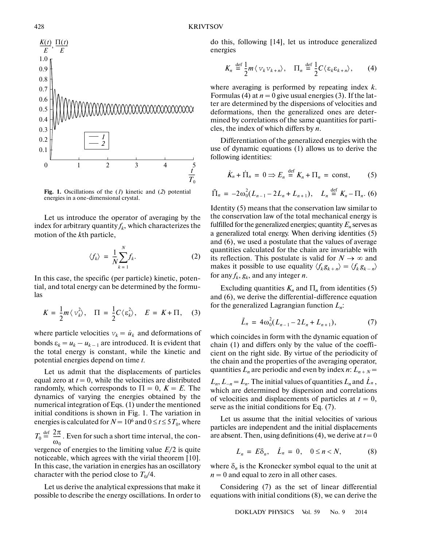

**Fig. 1.** Oscillations of the (*1*) kinetic and (*2*) potential energies in a one-dimensional crystal.

Let us introduce the operator of averaging by the index for arbitrary quantity  $f_k$ , which characterizes the motion of the *k*th particle,

$$
\langle f_k \rangle = \frac{1}{N} \sum_{k=1}^{N} f_k. \tag{2}
$$

In this case, the specific (per particle) kinetic, poten tial, and total energy can be determined by the formu las

$$
K = \frac{1}{2}m\langle v_k^2 \rangle, \quad \Pi = \frac{1}{2}C\langle \varepsilon_k^2 \rangle, \quad E = K + \Pi, \quad (3)
$$

where particle velocities  $v_k = \dot{u}_k$  and deformations of bonds  $\varepsilon_k = u_k - u_{k-1}$  are introduced. It is evident that the total energy is constant, while the kinetic and potential energies depend on time *t*.

Let us admit that the displacements of particles equal zero at  $t = 0$ , while the velocities are distributed randomly, which corresponds to  $\Pi = 0$ ,  $K = E$ . The dynamics of varying the energies obtained by the numerical integration of Eqs. (1) under the mentioned initial conditions is shown in Fig. 1. The variation in energies is calculated for  $N = 10^6$  and  $0 \le t \le 5T_0$ , where  $T_0 \stackrel{\text{def}}{=} \frac{2\pi}{\sqrt{2}}$ . Even for such a short time interval, the convergence of energies to the limiting value *E*/2 is quite noticeable, which agrees with the virial theorem [10]. In this case, the variation in energies has an oscillatory  $rac{2\pi}{\omega_0}$ 

character with the period close to  $T_0/4$ .

Let us derive the analytical expressions that make it possible to describe the energy oscillations. In order to do this, following [14], let us introduce generalized energies

$$
K_n \stackrel{\text{def}}{=} \frac{1}{2} m \langle v_k v_{k+n} \rangle, \quad \Pi_n \stackrel{\text{def}}{=} \frac{1}{2} C \langle \varepsilon_k \varepsilon_{k+n} \rangle, \qquad (4)
$$

where averaging is performed by repeating index *k*. Formulas (4) at  $n = 0$  give usual energies (3). If the latter are determined by the dispersions of velocities and deformations, then the generalized ones are deter mined by correlations of the same quantities for parti cles, the index of which differs by *n*.

Differentiation of the generalized energies with the use of dynamic equations (1) allows us to derive the following identities:

$$
\dot{K}_n + \dot{\Pi}_n = 0 \Rightarrow E_n \stackrel{\text{def}}{=} K_n + \Pi_n = \text{const}, \quad (5)
$$

$$
\ddot{\Pi}_n = -2\omega_0^2 (L_{n-1} - 2L_n + L_{n+1}), \quad L_n \stackrel{\text{def}}{=} K_n - \Pi_n. (6)
$$

Identity (5) means that the conservation law similar to the conservation law of the total mechanical energy is fulfilled for the generalized energies; quantity  $E_n$  serves as a generalized total energy. When deriving identities (5) and (6), we used a postulate that the values of average quantities calculated for the chain are invariable with its reflection. This postulate is valid for  $N \to \infty$  and makes it possible to use equality  $\langle f_k g_{k+n} \rangle = \langle f_k g_{k-n} \rangle$ for any  $f_k$ ,  $g_k$ , and any integer *n*.

Excluding quantities  $K_n$  and  $\Pi_n$  from identities (5) and (6), we derive the differential-difference equation for the generalized Lagrangian function *Ln*:

$$
\ddot{L}_n = 4\omega_0^2 (L_{n-1} - 2L_n + L_{n+1}), \tag{7}
$$

which coincides in form with the dynamic equation of chain (1) and differs only by the value of the coeffi cient on the right side. By virtue of the periodicity of the chain and the properties of the averaging operator, quantities  $L_n$  are periodic and even by index *n*:  $L_{n+N}$  =

 $L_n$ ,  $L_{-n} = L_n$ . The initial values of quantities  $L_n$  and  $\dot{L}_n$ , which are determined by dispersion and correlations of velocities and displacements of particles at  $t = 0$ , serve as the initial conditions for Eq. (7).

Let us assume that the initial velocities of various particles are independent and the initial displacements are absent. Then, using definitions  $(4)$ , we derive at  $t = 0$ 

$$
L_n = E\delta_n, \quad \dot{L}_n = 0, \quad 0 \le n < N,\tag{8}
$$

where  $\delta_n$  is the Kronecker symbol equal to the unit at  $n = 0$  and equal to zero in all other cases.

Considering (7) as the set of linear differential equations with initial conditions (8), we can derive the

DOKLADY PHYSICS Vol. 59 No. 9 2014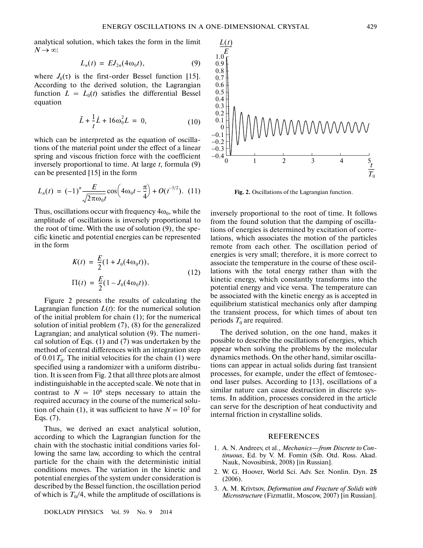analytical solution, which takes the form in the limit *N* → ∞:

$$
L_n(t) = EJ_{2n}(4\omega_0 t), \qquad (9)
$$

where  $J_k(\tau)$  is the first-order Bessel function [15]. According to the derived solution, the Lagrangian function  $L = L_0(t)$  satisfies the differential Bessel equation

$$
\ddot{L} + \frac{1}{t}\dot{L} + 16\omega_0^2 L = 0, \qquad (10)
$$

which can be interpreted as the equation of oscilla tions of the material point under the effect of a linear spring and viscous friction force with the coefficient inversely proportional to time. At large *t*, formula (9) can be presented [15] in the form

$$
L_n(t) = (-1)^n \frac{E}{\sqrt{2\pi\omega_0 t}} \cos\left(4\omega_0 t - \frac{\pi}{4}\right) + O(t^{-3/2}). \tag{11}
$$

Thus, oscillations occur with frequency  $4\omega_0$ , while the amplitude of oscillations is inversely proportional to the root of time. With the use of solution (9), the spe cific kinetic and potential energies can be represented in the form

$$
K(t) = \frac{E}{2}(1 + J_0(4\omega_0 t)),
$$
  
\n
$$
\Pi(t) = \frac{E}{2}(1 - J_0(4\omega_0 t)).
$$
\n(12)

Figure 2 presents the results of calculating the Lagrangian function  $L(t)$ : for the numerical solution of the initial problem for chain (1); for the numerical solution of initial problem (7), (8) for the generalized Lagrangian; and analytical solution (9). The numeri cal solution of Eqs. (1) and (7) was undertaken by the method of central differences with an integration step of  $0.01 T_0$ . The initial velocities for the chain (1) were specified using a randomizer with a uniform distribu tion. It is seen from Fig. 2 that all three plots are almost indistinguishable in the accepted scale. We note that in contrast to  $N = 10^6$  steps necessary to attain the required accuracy in the course of the numerical solu tion of chain (1), it was sufficient to have  $N = 10^2$  for Eqs. (7).

Thus, we derived an exact analytical solution, according to which the Lagrangian function for the chain with the stochastic initial conditions varies fol lowing the same law, according to which the central particle for the chain with the deterministic initial conditions moves. The variation in the kinetic and potential energies of the system under consideration is described by the Bessel function, the oscillation period of which is  $T_0/4$ , while the amplitude of oscillations is

DOKLADY PHYSICS Vol. 59 No. 9 2014



**Fig. 2.** Oscillations of the Lagrangian function.

inversely proportional to the root of time. It follows from the found solution that the damping of oscilla tions of energies is determined by excitation of corre lations, which associates the motion of the particles remote from each other. The oscillation period of energies is very small; therefore, it is more correct to associate the temperature in the course of these oscil lations with the total energy rather than with the kinetic energy, which constantly transforms into the potential energy and vice versa. The temperature can be associated with the kinetic energy as is accepted in equilibrium statistical mechanics only after damping the transient process, for which times of about ten periods  $T_0$  are required.

The derived solution, on the one hand, makes it possible to describe the oscillations of energies, which appear when solving the problems by the molecular dynamics methods. On the other hand, similar oscilla tions can appear in actual solids during fast transient processes, for example, under the effect of femtosec ond laser pulses. According to [13], oscillations of a similar nature can cause destruction in discrete sys tems. In addition, processes considered in the article can serve for the description of heat conductivity and internal friction in crystalline solids.

## REFERENCES

- 1. A. N. Andreev, et al., *Mechanics—from Discrete to Con tinuous*, Ed. by V. M. Fomin (Sib. Otd. Ross. Akad. Nauk, Novosibirsk, 2008) [in Russian].
- 2. W. G. Hoover, World Sci. Adv. Ser. Nonlin. Dyn. **25** (2006).
- 3. A. M. Krivtsov, *Deformation and Fracture of Solids with Microstructure* (Fizmatlit, Moscow, 2007) [in Russian].